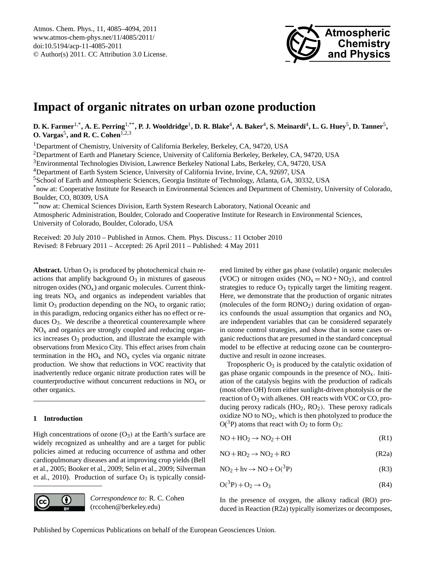

# <span id="page-0-0"></span>**Impact of organic nitrates on urban ozone production**

 ${\bf D.~K.~Farmer}^{1,*}, {\bf A.~E.~Perring}^{1,**}, {\bf P.~J.~Wooddridge}^1, {\bf D.~R.~Blacke}^4, {\bf A.~Baker}^4, {\bf S.~Meinardi}^4, {\bf L.~G.~Huey}^5, {\bf D.~Tanner}^5,$ **O. Vargas<sup>5</sup>, and R. C. Cohen**<sup>1,2,3</sup>

<sup>1</sup>Department of Chemistry, University of California Berkeley, Berkeley, CA, 94720, USA

<sup>2</sup>Department of Earth and Planetary Science, University of California Berkeley, Berkeley, CA, 94720, USA

<sup>3</sup>Environmental Technologies Division, Lawrence Berkeley National Labs, Berkeley, CA, 94720, USA

<sup>4</sup>Department of Earth System Science, University of California Irvine, Irvine, CA, 92697, USA

<sup>5</sup>School of Earth and Atmospheric Sciences, Georgia Institute of Technology, Atlanta, GA, 30332, USA

\*now at: Cooperative Institute for Research in Environmental Sciences and Department of Chemistry, University of Colorado, Boulder, CO, 80309, USA

\*\*now at: Chemical Sciences Division, Earth System Research Laboratory, National Oceanic and Atmospheric Administration, Boulder, Colorado and Cooperative Institute for Research in Environmental Sciences, University of Colorado, Boulder, Colorado, USA

Received: 20 July 2010 – Published in Atmos. Chem. Phys. Discuss.: 11 October 2010 Revised: 8 February 2011 – Accepted: 26 April 2011 – Published: 4 May 2011

**Abstract.** Urban  $O_3$  is produced by photochemical chain reactions that amplify background  $O_3$  in mixtures of gaseous nitrogen oxides  $(NO<sub>x</sub>)$  and organic molecules. Current thinking treats  $NO<sub>x</sub>$  and organics as independent variables that limit  $O_3$  production depending on the  $NO_x$  to organic ratio; in this paradigm, reducing organics either has no effect or reduces  $O_3$ . We describe a theoretical counterexample where  $NO<sub>x</sub>$  and organics are strongly coupled and reducing organics increases  $O_3$  production, and illustrate the example with observations from Mexico City. This effect arises from chain termination in the  $HO_x$  and  $NO_x$  cycles via organic nitrate production. We show that reductions in VOC reactivity that inadvertently reduce organic nitrate production rates will be counterproductive without concurrent reductions in  $NO<sub>x</sub>$  or other organics.

## **1 Introduction**

High concentrations of ozone  $(O_3)$  at the Earth's surface are widely recognized as unhealthy and are a target for public policies aimed at reducing occurrence of asthma and other cardiopulmonary diseases and at improving crop yields (Bell et al., 2005; Booker et al., 2009; Selin et al., 2009; Silverman et al., 2010). Production of surface  $O_3$  is typically consid-



*Correspondence to:* R. C. Cohen (rccohen@berkeley.edu)

ered limited by either gas phase (volatile) organic molecules (VOC) or nitrogen oxides  $(NO<sub>x</sub> = NO + NO<sub>2</sub>)$ , and control strategies to reduce  $O_3$  typically target the limiting reagent. Here, we demonstrate that the production of organic nitrates (molecules of the form  $RONO<sub>2</sub>$ ) during oxidation of organics confounds the usual assumption that organics and  $NO<sub>x</sub>$ are independent variables that can be considered separately in ozone control strategies, and show that in some cases organic reductions that are presumed in the standard conceptual model to be effective at reducing ozone can be counterproductive and result in ozone increases.

Tropospheric  $O_3$  is produced by the catalytic oxidation of gas phase organic compounds in the presence of  $NO<sub>x</sub>$ . Initiation of the catalysis begins with the production of radicals (most often OH) from either sunlight-driven photolysis or the reaction of  $O_3$  with alkenes. OH reacts with VOC or CO, producing peroxy radicals  $(HO_2, RO_2)$ . These peroxy radicals oxidize  $NO$  to  $NO<sub>2</sub>$ , which is then photolyzed to produce the  $O(^3P)$  atoms that react with O<sub>2</sub> to form O<sub>3</sub>:

$$
NO + HO2 \rightarrow NO2 + OH
$$
 (R1)

$$
NO + RO2 \rightarrow NO2 + RO
$$
 (R2a)

$$
NO2 + hv \rightarrow NO + O(^{3}P)
$$
 (R3)

$$
O(^3P) + O_2 \rightarrow O_3 \tag{R4}
$$

In the presence of oxygen, the alkoxy radical (RO) produced in Reaction (R2a) typically isomerizes or decomposes,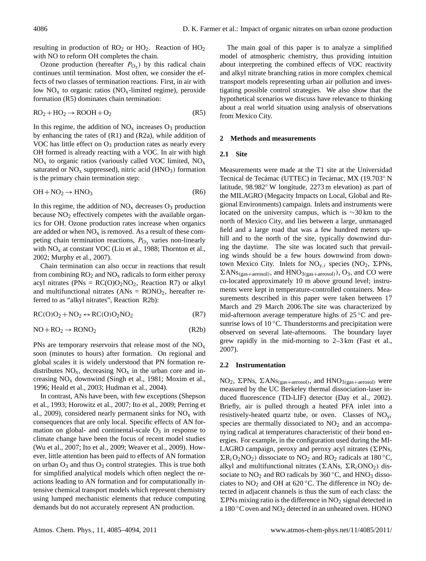resulting in production of  $RO<sub>2</sub>$  or  $HO<sub>2</sub>$ . Reaction of  $HO<sub>2</sub>$ with NO to reform OH completes the chain.

Ozone production (hereafter  $P_{\text{O}_3}$ ) by this radical chain continues until termination. Most often, we consider the effects of two classes of termination reactions. First, in air with low  $NO<sub>x</sub>$  to organic ratios ( $NO<sub>x</sub>$ -limited regime), peroxide formation (R5) dominates chain termination:

$$
RO2 + HO2 \rightarrow ROOH + O2
$$
 (R5)

In this regime, the addition of  $NO<sub>x</sub>$  increases  $O<sub>3</sub>$  production by enhancing the rates of (R1) and (R2a), while addition of VOC has little effect on  $O_3$  production rates as nearly every OH formed is already reacting with a VOC. In air with high  $NO<sub>x</sub>$  to organic ratios (variously called VOC limited,  $NO<sub>x</sub>$ saturated or  $NO<sub>x</sub>$  suppressed), nitric acid (HNO<sub>3</sub>) formation is the primary chain termination step:

$$
OH + NO_2 \rightarrow HNO_3 \tag{R6}
$$

In this regime, the addition of  $NO<sub>x</sub>$  decreases  $O<sub>3</sub>$  production because  $NO<sub>2</sub>$  effectively competes with the available organics for OH. Ozone production rates increase when organics are added or when  $NO<sub>x</sub>$  is removed. As a result of these competing chain termination reactions,  $P_{\text{O}_3}$  varies non-linearly with  $NO<sub>x</sub>$  at constant VOC (Liu et al., 1988; Thornton et al., 2002; Murphy et al., 2007).

Chain termination can also occur in reactions that result from combining  $RO<sub>2</sub>$  and  $NO<sub>x</sub>$  radicals to form either peroxy acyl nitrates (PNs =  $RC(O)O<sub>2</sub>NO<sub>2</sub>$ , Reaction R7) or alkyl and multifunctional nitrates  $(ANS = RONO<sub>2</sub>)$ , hereafter referred to as "alkyl nitrates", Reaction R2b):

$$
RC(O)O2 + NO2 \leftrightarrow RC(O)O2NO2
$$
 (R7)

$$
NO + RO_2 \rightarrow RONO_2 \tag{R2b}
$$

PNs are temporary reservoirs that release most of the  $NO<sub>x</sub>$ soon (minutes to hours) after formation. On regional and global scales it is widely understood that PN formation redistributes  $NO_x$ , decreasing  $NO_x$  in the urban core and increasing  $NO<sub>x</sub>$  downwind (Singh et al., 1981; Moxim et al., 1996; Heald et al., 2003; Hudman et al., 2004).

In contrast, ANs have been, with few exceptions (Shepson et al., 1993; Horowitz et al., 2007; Ito et al., 2009; Perring et al., 2009), considered nearly permanent sinks for  $NO<sub>x</sub>$  with consequences that are only local. Specific effects of AN formation on global- and continental-scale  $O_3$  in response to climate change have been the focus of recent model studies (Wu et al., 2007; Ito et al., 2009; Weaver et al., 2009). However, little attention has been paid to effects of AN formation on urban  $O_3$  and thus  $O_3$  control strategies. This is true both for simplified analytical models which often neglect the reactions leading to AN formation and for computationally intensive chemical transport models which represent chemistry using lumped mechanistic elements that reduce computing demands but do not accurately represent AN production.

The main goal of this paper is to analyze a simplified model of atmospheric chemistry, thus providing intuition about interpreting the combined effects of VOC reactivity and alkyl nitrate branching ratios in more complex chemical transport models representing urban air pollution and investigating possible control strategies. We also show that the hypothetical scenarios we discuss have relevance to thinking about a real world situation using analysis of observations from Mexico City.

## **2 Methods and measurements**

#### **2.1 Site**

Measurements were made at the T1 site at the Universidad Tecnical de Tecámac (UTTEC) in Tecámac, MX (19.703° N latitude, 98.982◦ W longitude, 2273 m elevation) as part of the MILAGRO (Megacity Impacts on Local, Global and Regional Environments) campaign. Inlets and instruments were located on the university campus, which is ∼30 km to the north of Mexico City, and lies between a large, unmanaged field and a large road that was a few hundred meters uphill and to the north of the site, typically downwind during the daytime. The site was located such that prevailing winds should be a few hours downwind from downtown Mexico City. Inlets for  $NO_{v,i}$  species (NO<sub>2</sub>,  $\Sigma$ PNs,  $\Sigma ANs_{(gas+aerosol)}$ , and  $HNO<sub>3(gas+aerosol)</sub>$ , O<sub>3</sub>, and CO were co-located approximately 10 m above ground level; instruments were kept in temperature-controlled containers. Measurements described in this paper were taken between 17 March and 29 March 2006.The site was characterized by mid-afternoon average temperature highs of 25 ◦C and presunrise lows of  $10^{\circ}$ C. Thunderstorms and precipitation were observed on several late-afternoons. The boundary layer grew rapidly in the mid-morning to 2–3 km (Fast et al., 2007).

#### **2.2 Instrumentation**

NO<sub>2</sub>,  $\Sigma$ PNs,  $\Sigma$ ANs<sub>(gas+aerosol)</sub>, and HNO<sub>3(gas+aerosol)</sub> were measured by the UC Berkeley thermal dissociation-laser induced fluorescence (TD-LIF) detector (Day et al., 2002). Briefly, air is pulled through a heated PFA inlet into a resistively-heated quartz tube, or oven. Classes of  $NO_{vi}$ species are thermally dissociated to  $NO<sub>2</sub>$  and an accompanying radical at temperatures characteristic of their bond energies. For example, in the configuration used during the MI-LAGRO campaign, peroxy and peroxy acyl nitrates ( $\Sigma$ PNs,  $\sum R_iO_2NO_2$ ) dissociate to NO<sub>2</sub> and RO<sub>2</sub> radicals at 180 °C, alkyl and multifunctional nitrates ( $\Sigma ANs$ ,  $\Sigma R_i ONO_2$ ) dissociate to  $NO<sub>2</sub>$  and RO radicals by 360 °C, and HNO<sub>3</sub> dissociates to  $NO<sub>2</sub>$  and OH at 620 °C. The difference in  $NO<sub>2</sub>$  detected in adjacent channels is thus the sum of each class: the  $\Sigma$ PNs mixing ratio is the difference in NO<sub>2</sub> signal detected in a 180 °C oven and NO<sub>2</sub> detected in an unheated oven. HONO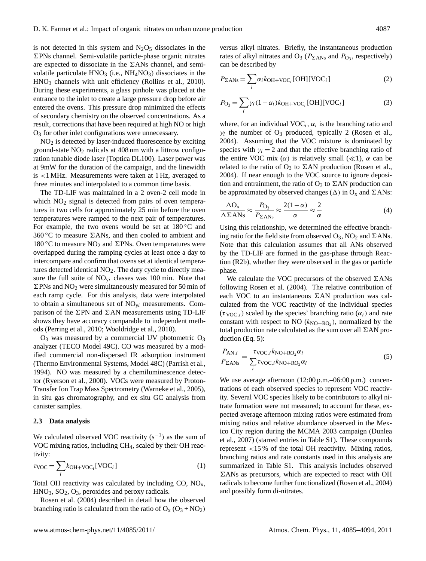is not detected in this system and  $N_2O_5$  dissociates in the  $\Sigma$ PNs channel. Semi-volatile particle-phase organic nitrates are expected to dissociate in the  $\Sigma ANs$  channel, and semivolatile particulate  $HNO<sub>3</sub>$  (i.e.,  $NH<sub>4</sub>NO<sub>3</sub>$ ) dissociates in the HNO<sup>3</sup> channels with unit efficiency (Rollins et al., 2010). During these experiments, a glass pinhole was placed at the entrance to the inlet to create a large pressure drop before air entered the ovens. This pressure drop minimized the effects of secondary chemistry on the observed concentrations. As a result, corrections that have been required at high NO or high O<sup>3</sup> for other inlet configurations were unnecessary.

 $NO<sub>2</sub>$  is detected by laser-induced fluorescence by exciting ground-state  $NO<sub>2</sub>$  radicals at 408 nm with a littrow configuration tunable diode laser (Toptica DL100). Laser power was at 9mW for the duration of the campaign, and the linewidth is <1 MHz. Measurements were taken at 1 Hz, averaged to three minutes and interpolated to a common time basis.

The TD-LIF was maintained in a 2 oven-2 cell mode in which  $NO<sub>2</sub>$  signal is detected from pairs of oven temperatures in two cells for approximately 25 min before the oven temperatures were ramped to the next pair of temperatures. For example, the two ovens would be set at  $180\degree C$  and 360 °C to measure  $\Sigma$ ANs, and then cooled to ambient and 180 °C to measure  $NO<sub>2</sub>$  and  $\Sigma$ PNs. Oven temperatures were overlapped during the ramping cycles at least once a day to intercompare and confirm that ovens set at identical temperatures detected identical NO<sub>2</sub>. The duty cycle to directly measure the full suite of  $NO_{vi}$  classes was 100 min. Note that  $\Sigma$ PNs and NO<sub>2</sub> were simultaneously measured for 50 min of each ramp cycle. For this analysis, data were interpolated to obtain a simultaneous set of  $NO<sub>vi</sub>$  measurements. Comparison of the  $\Sigma$ PN and  $\Sigma$ AN measurements using TD-LIF shows they have accuracy comparable to independent methods (Perring et al., 2010; Wooldridge et al., 2010).

 $O_3$  was measured by a commercial UV photometric  $O_3$ analyzer (TECO Model 49C). CO was measured by a modified commercial non-dispersed IR adsorption instrument (Thermo Environmental Systems, Model 48C) (Parrish et al., 1994). NO was measured by a chemiluminescence detector (Ryerson et al., 2000). VOCs were measured by Proton-Transfer Ion Trap Mass Spectrometry (Warneke et al., 2005), in situ gas chromatography, and ex situ GC analysis from canister samples.

#### **2.3 Data analysis**

We calculated observed VOC reactivity  $(s^{-1})$  as the sum of VOC mixing ratios, including CH4, scaled by their OH reactivity:

$$
\tau_{\text{VOC}} = \sum_{i} k_{\text{OH}+\text{VOC}_i} [\text{VOC}_i] \tag{1}
$$

Total OH reactivity was calculated by including  $CO$ ,  $NO<sub>x</sub>$ ,  $HNO<sub>3</sub>, SO<sub>2</sub>, O<sub>3</sub>$ , peroxides and peroxy radicals.

Rosen et al. (2004) described in detail how the observed branching ratio is calculated from the ratio of  $O_x (O_3 + NO_2)$ 

versus alkyl nitrates. Briefly, the instantaneous production rates of alkyl nitrates and  $O_3$  ( $P_{\Sigma ANs}$  and  $P_{O_3}$ , respectively) can be described by

$$
P_{\Sigma ANs} = \sum_{i} \alpha_i k_{\text{OH}+\text{VOC}_i} \text{[OH]}[\text{VOC}_i] \tag{2}
$$

$$
P_{\text{O}_3} = \sum_{i} \gamma_i (1 - \alpha_i) k_{\text{OH}+\text{VOC}_i} \text{[OH]}[\text{VOC}_i] \tag{3}
$$

where, for an individual  $VOC_i$ ,  $\alpha_i$  is the branching ratio and  $\gamma_i$  the number of O<sub>3</sub> produced, typically 2 (Rosen et al., 2004). Assuming that the VOC mixture is dominated by species with  $\gamma_i = 2$  and that the effective branching ratio of the entire VOC mix  $(\alpha)$  is relatively small  $(\ll 1)$ ,  $\alpha$  can be related to the ratio of  $O_3$  to  $\Sigma AN$  production (Rosen et al., 2004). If near enough to the VOC source to ignore deposition and entrainment, the ratio of  $O_3$  to  $\Sigma AN$  production can be approximated by observed changes ( $\Delta$ ) in O<sub>x</sub> and  $\Sigma$ ANs:

$$
\frac{\Delta O_{x}}{\Delta \Sigma ANs} \approx \frac{P_{O_{3}}}{P_{\Sigma ANs}} \approx \frac{2(1-\alpha)}{\alpha} \approx \frac{2}{\alpha}
$$
(4)

Using this relationship, we determined the effective branching ratio for the field site from observed  $O_3$ , NO<sub>2</sub> and  $\Sigma ANs$ . Note that this calculation assumes that all ANs observed by the TD-LIF are formed in the gas-phase through Reaction (R2b), whether they were observed in the gas or particle phase.

We calculate the VOC precursors of the observed  $\Sigma ANs$ following Rosen et al. (2004). The relative contribution of each VOC to an instantaneous  $\Sigma AN$  production was calculated from the VOC reactivity of the individual species  $(\tau_{VOC,i})$  scaled by the species' branching ratio  $(\alpha_i)$  and rate constant with respect to NO  $(k_{\text{NO+RO}_2})$ , normalized by the total production rate calculated as the sum over all  $\Sigma AN$  production (Eq. 5):

$$
\frac{P_{\text{AN},i}}{P_{\text{ZANs}}} = \frac{\tau_{\text{VOC},i} k_{\text{NO}+\text{RO}_2} \alpha_i}{\sum_{i} \tau_{\text{VOC},i} k_{\text{NO}+\text{RO}_2} \alpha_i}
$$
(5)

We use average afternoon (12:00 p.m.–06:00 p.m.) concentrations of each observed species to represent VOC reactivity. Several VOC species likely to be contributors to alkyl nitrate formation were not measured; to account for these, expected average afternoon mixing ratios were estimated from mixing ratios and relative abundance observed in the Mexico City region during the MCMA 2003 campaign (Dunlea et al., 2007) (starred entries in Table S1). These compounds represent <15 % of the total OH reactivity. Mixing ratios, branching ratios and rate constants used in this analysis are summarized in Table S1. This analysis includes observed  $\Sigma$ ANs as precursors, which are expected to react with OH radicals to become further functionalized (Rosen et al., 2004) and possibly form di-nitrates.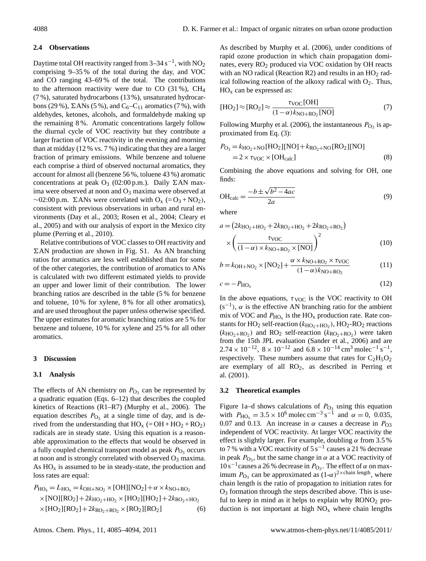## **2.4 Observations**

Daytime total OH reactivity ranged from 3–34  $\rm s^{-1}$ , with NO<sub>2</sub> comprising 9–35 % of the total during the day, and VOC and CO ranging 43–69 % of the total. The contributions to the afternoon reactivity were due to CO  $(31\%)$ , CH<sub>4</sub> (7 %), saturated hydrocarbons (13 %), unsaturated hydrocarbons (29 %),  $\Sigma$ ANs (5 %), and C<sub>6</sub>–C<sub>11</sub> aromatics (7 %), with aldehydes, ketones, alcohols, and formaldehyde making up the remaining 8 %. Aromatic concentrations largely follow the diurnal cycle of VOC reactivity but they contribute a larger fraction of VOC reactivity in the evening and morning than at midday (12 % vs. 7 %) indicating that they are a larger fraction of primary emissions. While benzene and toluene each comprise a third of observed nocturnal aromatics, they account for almost all (benzene 56 %, toluene 43 %) aromatic concentrations at peak  $O_3$  (02:00 p.m.). Daily  $\Sigma AN$  maxima were observed at noon and  $O_3$  maxima were observed at  $\sim$ 02:00 p.m. ΣANs were correlated with O<sub>x</sub> (= O<sub>3</sub> + NO<sub>2</sub>), consistent with previous observations in urban and rural environments (Day et al., 2003; Rosen et al., 2004; Cleary et al., 2005) and with our analysis of export in the Mexico city plume (Perring et al., 2010).

Relative contributions of VOC classes to OH reactivity and  $\Sigma AN$  production are shown in Fig. S1. As AN branching ratios for aromatics are less well established than for some of the other categories, the contribution of aromatics to ANs is calculated with two different estimated yields to provide an upper and lower limit of their contribution. The lower branching ratios are described in the table (5 % for benzene and toluene, 10 % for xylene, 8 % for all other aromatics), and are used throughout the paper unless otherwise specified. The upper estimates for aromatic branching ratios are 5 % for benzene and toluene, 10 % for xylene and 25 % for all other aromatics.

## **3 Discussion**

## **3.1 Analysis**

The effects of AN chemistry on  $P_{\text{O}_3}$  can be represented by a quadratic equation (Eqs. 6–12) that describes the coupled kinetics of Reactions (R1–R7) (Murphy et al., 2006). The equation describes  $P_{\text{O}_3}$  at a single time of day, and is derived from the understanding that  $HO_x (= OH + HO_2 + RO_2)$ radicals are in steady state. Using this equation is a reasonable approximation to the effects that would be observed in a fully coupled chemical transport model as peak  $P_{\text{O}_3}$  occurs at noon and is strongly correlated with observed  $O_3$  maxima. As  $HO<sub>x</sub>$  is assumed to be in steady-state, the production and loss rates are equal:

$$
P_{\text{HO}_x} = L_{\text{HO}_x} = k_{\text{OH} + \text{NO}_2} \times [\text{OH}][\text{NO}_2] + \alpha \times k_{\text{NO} + \text{RO}_2}
$$
  
×[NO][RO<sub>2</sub>] + 2k\_{\text{HO}\_2 + \text{HO}\_2} \times [HO\_2][\text{HO}\_2] + 2k\_{\text{RO}\_2 + \text{HO}\_2}  
×[HO<sub>2</sub>][RO<sub>2</sub>] + 2k\_{\text{RO}\_2 + \text{RO}\_2} \times [RO\_2][\text{RO}\_2] (6)

$$
[\text{HO}_2] \approx [\text{RO}_2] \approx \frac{\tau_{\text{VOC}}[\text{OH}]}{(1 - \alpha)k_{\text{NO} + \text{RO}_2}[\text{NO}]}
$$
(7)

Following Murphy et al. (2006), the instantaneous  $P_{\text{O}_3}$  is approximated from Eq. (3):

$$
P_{\text{O}_3} = k_{\text{HO}_2 + \text{NO}}[\text{HO}_2][\text{NO}] + k_{\text{RO}_2 + \text{NO}}[\text{RO}_2][\text{NO}]
$$
  
= 2 ×  $\tau_{\text{VOC}} \times [\text{OH}_{\text{calc}}]$  (8)

Combining the above equations and solving for OH, one finds:

$$
OH_{calc} = \frac{-b \pm \sqrt{b^2 - 4ac}}{2a}
$$
 (9)

where

$$
a = (2k_{\text{HO}_2 + \text{HO}_2} + 2k_{\text{RO}_2 + \text{HO}_2} + 2k_{\text{RO}_2 + \text{RO}_2})
$$
  
 
$$
\times \left(\frac{\tau_{\text{VOC}}}{(1 - \alpha) \times k_{\text{NO} + \text{RO}_2} \times \text{[NO]}}\right)^2
$$
 (10)

$$
b = k_{\text{OH} + \text{NO}_2} \times \text{[NO}_2] + \frac{\alpha \times k_{\text{NO} + \text{RO}_2} \times \tau_{\text{VOC}}}{(1 - \alpha)k_{\text{NO} + \text{RO}_2}}
$$
(11)

$$
c = -P_{\text{HO}_x} \tag{12}
$$

In the above equations,  $\tau_{VOC}$  is the VOC reactivity to OH  $(s^{-1})$ ,  $\alpha$  is the effective AN branching ratio for the ambient mix of VOC and  $P_{HO_x}$  is the HO<sub>x</sub> production rate. Rate constants for  $HO_2$  self-reaction ( $k_{HO_2+HO_2}$ ),  $HO_2$ -RO<sub>2</sub> reactions  $(k_{\text{HO}_2+\text{RO}_2})$  and RO<sub>2</sub> self-reaction  $(k_{\text{RO}_2+\text{RO}_2})$  were taken from the 15th JPL evaluation (Sander et al., 2006) and are  $2.74 \times 10^{-12}$ ,  $8 \times 10^{-12}$  and  $6.8 \times 10^{-14}$  cm<sup>3</sup> molec<sup>-1</sup> s<sup>-1</sup>, respectively. These numbers assume that rates for  $C_2H_5O_2$ are exemplary of all  $RO<sub>2</sub>$ , as described in Perring et al. (2001).

#### **3.2 Theoretical examples**

Figure 1a–d shows calculations of  $P_{\text{O}_3}$  using this equation with  $P_{\text{HO}_x} = 3.5 \times 10^6 \text{ molecule cm}^{-3} \text{ s}^{-1}$  and  $\alpha = 0$ , 0.035, 0.07 and 0.13. An increase in  $\alpha$  causes a decrease in  $P_{\text{O}3}$ independent of VOC reactivity. At larger VOC reactivity the effect is slightly larger. For example, doubling  $\alpha$  from 3.5 % to 7% with a VOC reactivity of  $5s^{-1}$  causes a 21% decrease in peak  $P_{\text{O}_3}$ , but the same change in  $\alpha$  at a VOC reactivity of  $10 s^{-1}$ causes a 26 % decrease in  $P_{\text{O}_3}$ . The effect of  $\alpha$  on maximum  $P_{\text{O}_3}$  can be approximated as  $(1-\alpha)^{2 \times \text{chain length}}$ , where chain length is the ratio of propagation to initiation rates for  $O<sub>3</sub>$  formation through the steps described above. This is useful to keep in mind as it helps to explain why  $RONO<sub>2</sub>$  production is not important at high  $NO<sub>x</sub>$  where chain lengths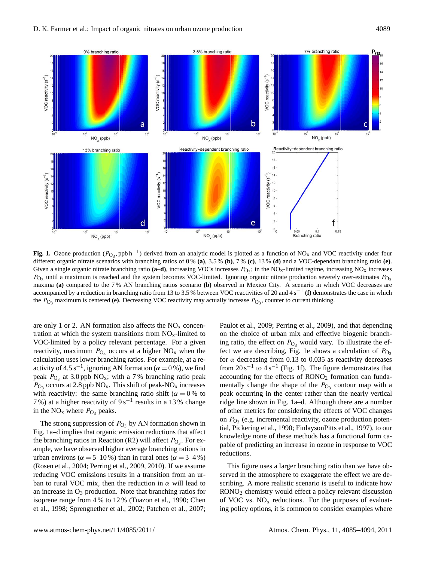

**Fig. 1.** Ozone production ( $P_{O_3}$ , ppb h<sup>-1</sup>) derived from an analytic model is plotted as a function of NO<sub>x</sub> and VOC reactivity under four different organic nitrate scenarios with branching ratios of 0 % **(a)**, 3.5 % **(b)**, 7 % **(c)**, 13 % **(d)** and a VOC-dependant branching ratio **(e)**. Given a single organic nitrate branching ratio (**a–d**), increasing VOCs increases  $P_{\text{O}_3}$ ; in the NO<sub>x</sub>-limited regime, increasing NO<sub>x</sub> increases  $P_{\text{O}_3}$  until a maximum is reached and the system becomes VOC-limited. Ignoring organic nitrate production severely over-estimates  $P_{\text{O}_3}$ maxima **(a)** compared to the 7 % AN branching ratios scenario **(b)** observed in Mexico City. A scenario in which VOC decreases are accompanied by a reduction in branching ratio from 13 to 3.5 % between VOC reactivities of 20 and 4 s−<sup>1</sup> **(f)** demonstrates the case in which the  $P_{\text{O}_3}$  maximum is centered (e). Decreasing VOC reactivity may actually increase  $P_{\text{O}_3}$ , counter to current thinking.

are only 1 or 2. AN formation also affects the  $NO<sub>x</sub>$  concentration at which the system transitions from  $NO<sub>x</sub>$ -limited to VOC-limited by a policy relevant percentage. For a given reactivity, maximum  $P_{\text{O}_3}$  occurs at a higher NO<sub>x</sub> when the calculation uses lower branching ratios. For example, at a reactivity of 4.5 s<sup>-1</sup>, ignoring AN formation ( $\alpha = 0$ %), we find peak  $P_{\text{O}_3}$  at 3.0 ppb NO<sub>x</sub>; with a 7% branching ratio peak  $P_{\text{O}_3}$  occurs at 2.8 ppb NO<sub>x</sub>. This shift of peak-NO<sub>x</sub> increases with reactivity: the same branching ratio shift ( $\alpha = 0$ % to 7%) at a higher reactivity of  $9s^{-1}$  results in a 13% change in the  $NO_x$  where  $P_{O_3}$  peaks.

The strong suppression of  $P_{\text{O}_3}$  by AN formation shown in Fig. 1a–d implies that organic emission reductions that affect the branching ratios in Reaction (R2) will affect  $P_{\text{O}_3}$ . For example, we have observed higher average branching rations in urban environs ( $\alpha = 5{\text -}10\%$ ) than in rural ones ( $\alpha = 3{\text -}4\%$ ) (Rosen et al., 2004; Perring et al., 2009, 2010). If we assume reducing VOC emissions results in a transition from an urban to rural VOC mix, then the reduction in  $\alpha$  will lead to an increase in  $O_3$  production. Note that branching ratios for isoprene range from 4 % to 12 % (Tuazon et al., 1990; Chen et al., 1998; Sprengnether et al., 2002; Patchen et al., 2007; Paulot et al., 2009; Perring et al., 2009), and that depending on the choice of urban mix and effective biogenic branching ratio, the effect on  $P_{\text{O}_3}$  would vary. To illustrate the effect we are describing, Fig. 1e shows a calculation of  $P_{\text{O}_3}$ for  $\alpha$  decreasing from 0.13 to 0.035 as reactivity decreases from  $20 s^{-1}$  to  $4 s^{-1}$  (Fig. 1f). The figure demonstrates that accounting for the effects of RONO<sub>2</sub> formation can fundamentally change the shape of the  $P_{\text{O}_3}$  contour map with a peak occurring in the center rather than the nearly vertical ridge line shown in Fig. 1a–d. Although there are a number of other metrics for considering the effects of VOC changes on  $P_{\text{O}_3}$  (e.g. incremental reactivity, ozone production potential, Pickering et al., 1990; FinlaysonPitts et al., 1997), to our knowledge none of these methods has a functional form capable of predicting an increase in ozone in response to VOC reductions.

This figure uses a larger branching ratio than we have observed in the atmosphere to exaggerate the effect we are describing. A more realistic scenario is useful to indicate how RONO<sup>2</sup> chemistry would effect a policy relevant discussion of VOC vs.  $NO<sub>x</sub>$  reductions. For the purposes of evaluating policy options, it is common to consider examples where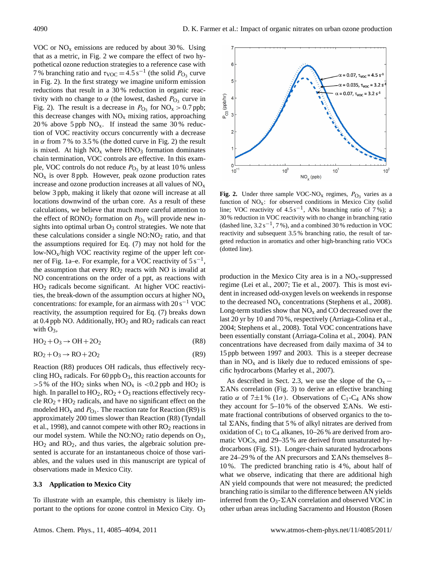VOC or  $NO<sub>x</sub>$  emissions are reduced by about 30%. Using that as a metric, in Fig. 2 we compare the effect of two hypothetical ozone reduction strategies to a reference case with 7% branching ratio and  $\tau_{\text{VOC}} = 4.5 \,\text{s}^{-1}$  (the solid  $P_{\text{O}_3}$  curve in Fig. 2). In the first strategy we imagine uniform emission reductions that result in a 30 % reduction in organic reactivity with no change to  $\alpha$  (the lowest, dashed  $P_{\text{O}_3}$  curve in Fig. 2). The result is a decrease in  $P_{\text{O}_3}$  for  $\text{NO}_x > 0.7$  ppb; this decrease changes with  $NO<sub>x</sub>$  mixing ratios, approaching 20 % above 5 ppb  $NO_x$ . If instead the same 30 % reduction of VOC reactivity occurs concurrently with a decrease in  $\alpha$  from 7 % to 3.5 % (the dotted curve in Fig. 2) the result is mixed. At high  $NO<sub>x</sub>$  where  $HNO<sub>3</sub>$  formation dominates chain termination, VOC controls are effective. In this example, VOC controls do not reduce  $P_{\text{O}_3}$  by at least 10 % unless  $NO<sub>x</sub>$  is over 8 ppb. However, peak ozone production rates increase and ozone production increases at all values of  $NO<sub>x</sub>$ below 3 ppb, making it likely that ozone will increase at all locations downwind of the urban core. As a result of these calculations, we believe that much more careful attention to the effect of  $\text{RONO}_2$  formation on  $P_{\text{O}_3}$  will provide new insights into optimal urban  $O_3$  control strategies. We note that these calculations consider a single  $NO:NO<sub>2</sub>$  ratio, and that the assumptions required for Eq. (7) may not hold for the low-NOx/high VOC reactivity regime of the upper left corner of Fig. 1a–e. For example, for a VOC reactivity of  $5 s^{-1}$ , the assumption that every  $RO<sub>2</sub>$  reacts with NO is invalid at NO concentrations on the order of a ppt, as reactions with HO<sup>2</sup> radicals become significant. At higher VOC reactivities, the break-down of the assumption occurs at higher  $NO<sub>x</sub>$ concentrations: for example, for an airmass with  $20 s^{-1}$  VOC reactivity, the assumption required for Eq. (7) breaks down at 0.4 ppb NO. Additionally,  $HO_2$  and  $RO_2$  radicals can react with  $O_3$ ,

$$
HO_2 + O_3 \rightarrow OH + 2O_2 \tag{R8}
$$

$$
RO2 + O3 \rightarrow RO + 2O2
$$
 (R9)

Reaction (R8) produces OH radicals, thus effectively recycling  $HO_x$  radicals. For 60 ppb  $O_3$ , this reaction accounts for  $>5\%$  of the HO<sub>2</sub> sinks when NO<sub>x</sub> is <0.2 ppb and HO<sub>2</sub> is high. In parallel to  $HO_2$ ,  $RO_2 + O_3$  reactions effectively recycle  $RO<sub>2</sub> + HO<sub>2</sub>$  radicals, and have no significant effect on the modeled  $HO_x$  and  $P_{O_3}$ . The reaction rate for Reaction (R9) is approximately 200 times slower than Reaction (R8) (Tyndall et al., 1998), and cannot compete with other  $RO<sub>2</sub>$  reactions in our model system. While the  $NO:NO<sub>2</sub>$  ratio depends on  $O<sub>3</sub>$ ,  $HO<sub>2</sub>$  and  $RO<sub>2</sub>$ , and thus varies, the algebraic solution presented is accurate for an instantaneous choice of those variables, and the values used in this manuscript are typical of observations made in Mexico City.

## **3.3 Application to Mexico City**

To illustrate with an example, this chemistry is likely important to the options for ozone control in Mexico City. O<sub>3</sub>



**Fig. 2.** Under three sample VOC-NO<sub>x</sub> regimes,  $P_{\text{O}_3}$  varies as a function of  $NO<sub>x</sub>$ : for observed conditions in Mexico City (solid line; VOC reactivity of  $4.5 s<sup>-1</sup>$ , ANs branching ratio of 7%); a 30 % reduction in VOC reactivity with no change in branching ratio (dashed line,  $3.2 s^{-1}$ , 7%), and a combined 30% reduction in VOC reactivity and subsequent 3.5 % branching ratio, the result of targeted reduction in aromatics and other high-branching ratio VOCs (dotted line).

production in the Mexico City area is in a  $NO<sub>x</sub>$ -suppressed regime (Lei et al., 2007; Tie et al., 2007). This is most evident in increased odd-oxygen levels on weekends in response to the decreased  $NO<sub>x</sub>$  concentrations (Stephens et al., 2008). Long-term studies show that  $NO<sub>x</sub>$  and CO decreased over the last 20 yr by 10 and 70 %, respectively (Arriaga-Colina et al., 2004; Stephens et al., 2008). Total VOC concentrations have been essentially constant (Arriaga-Colina et al., 2004). PAN concentrations have decreased from daily maxima of 34 to 15 ppb between 1997 and 2003. This is a steeper decrease than in  $NO<sub>x</sub>$  and is likely due to reduced emissions of specific hydrocarbons (Marley et al., 2007).

As described in Sect. 2.3, we use the slope of the  $O_x$  −  $\Sigma$ ANs correlation (Fig. 3) to derive an effective branching ratio α of 7 $\pm$ 1 % (1σ). Observations of C<sub>1</sub>-C<sub>4</sub> ANs show they account for 5–10% of the observed  $\Sigma$ ANs. We estimate fractional contributions of observed organics to the total  $\Sigma$ ANs, finding that 5% of alkyl nitrates are derived from oxidation of  $C_1$  to  $C_4$  alkanes, 10–26% are derived from aromatic VOCs, and 29–35 % are derived from unsaturated hydrocarbons (Fig. S1). Longer-chain saturated hydrocarbons are 24–29% of the AN precursors and  $\Sigma$ ANs themselves 8– 10 %. The predicted branching ratio is 4 %, about half of what we observe, indicating that there are additional high AN yield compounds that were not measured; the predicted branching ratio is similar to the difference between AN yields inferred from the O<sub>3</sub>- $\Sigma$ AN correlation and observed VOC in other urban areas including Sacramento and Houston (Rosen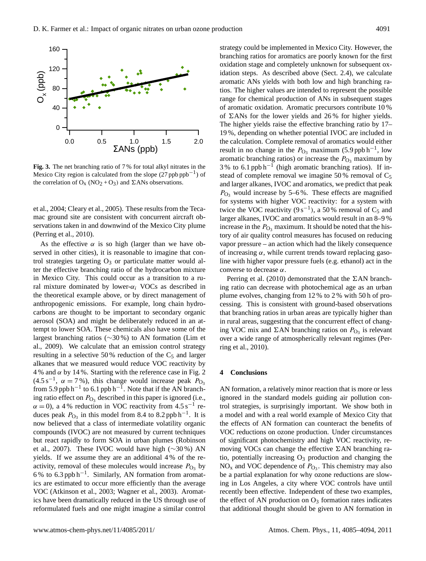

**Fig. 3.** The net branching ratio of 7 % for total alkyl nitrates in the Mexico City region is calculated from the slope  $(27$  ppb ppb<sup>-1</sup>) of the correlation of  $O_x (NO_2 + O_3)$  and  $\Sigma ANs$  observations.

et al., 2004; Cleary et al., 2005). These results from the Tecamac ground site are consistent with concurrent aircraft observations taken in and downwind of the Mexico City plume (Perring et al., 2010).

As the effective  $\alpha$  is so high (larger than we have observed in other cities), it is reasonable to imagine that control strategies targeting  $O_3$  or particulate matter would alter the effective branching ratio of the hydrocarbon mixture in Mexico City. This could occur as a transition to a rural mixture dominated by lower- $\alpha_i$  VOCs as described in the theoretical example above, or by direct management of anthropogenic emissions. For example, long chain hydrocarbons are thought to be important to secondary organic aerosol (SOA) and might be deliberately reduced in an attempt to lower SOA. These chemicals also have some of the largest branching ratios (∼30 %) to AN formation (Lim et al., 2009). We calculate that an emission control strategy resulting in a selective 50% reduction of the  $C_5$  and larger alkanes that we measured would reduce VOC reactivity by 4 % and  $\alpha$  by 14 %. Starting with the reference case in Fig. 2 (4.5 s<sup>-1</sup>,  $\alpha = 7\%$ ), this change would increase peak  $P_{\text{O}_3}$ from 5.9 ppb h<sup>-1</sup> to 6.1 ppb h<sup>-1</sup>. Note that if the AN branching ratio effect on  $P_{\text{O}_3}$  described in this paper is ignored (i.e.,  $\alpha = 0$ ), a 4% reduction in VOC reactivity from 4.5 s<sup>-1</sup> reduces peak  $P_{\text{O}_3}$  in this model from 8.4 to 8.2 ppb h<sup>-1</sup>. It is now believed that a class of intermediate volatility organic compounds (IVOC) are not measured by current techniques but react rapidly to form SOA in urban plumes (Robinson et al., 2007). These IVOC would have high (∼30 %) AN yields. If we assume they are an additional 4 % of the reactivity, removal of these molecules would increase  $P_{\text{O}_3}$  by 6 % to 6.3 ppb h−<sup>1</sup> . Similarly, AN formation from aromatics are estimated to occur more efficiently than the average VOC (Atkinson et al., 2003; Wagner et al., 2003). Aromatics have been dramatically reduced in the US through use of reformulated fuels and one might imagine a similar control strategy could be implemented in Mexico City. However, the branching ratios for aromatics are poorly known for the first oxidation stage and completely unknown for subsequent oxidation steps. As described above (Sect. 2.4), we calculate aromatic ANs yields with both low and high branching ratios. The higher values are intended to represent the possible range for chemical production of ANs in subsequent stages of aromatic oxidation. Aromatic precursors contribute 10 % of  $\Sigma$ ANs for the lower yields and 26% for higher yields. The higher yields raise the effective branching ratio by 17– 19 %, depending on whether potential IVOC are included in the calculation. Complete removal of aromatics would either result in no change in the  $P_{\text{O}_3}$  maximum (5.9 ppb h<sup>-1</sup>, low aromatic branching ratios) or increase the  $P_{\text{O}_3}$  maximum by 3% to 6.1 ppb h<sup>-1</sup> (high aromatic branching ratios). If instead of complete removal we imagine 50% removal of  $C_5$ and larger alkanes, IVOC and aromatics, we predict that peak  $P_{\text{O}_3}$  would increase by 5–6%. These effects are magnified for systems with higher VOC reactivity: for a system with twice the VOC reactivity  $(9s^{-1})$ , a 50% removal of C<sub>5</sub> and larger alkanes, IVOC and aromatics would result in an 8–9 % increase in the  $P_{\text{O}_3}$  maximum. It should be noted that the history of air quality control measures has focused on reducing vapor pressure – an action which had the likely consequence of increasing  $\alpha$ , while current trends toward replacing gasoline with higher vapor pressure fuels (e.g. ethanol) act in the converse to decrease  $\alpha$ .

Perring et al. (2010) demonstrated that the  $\Sigma AN$  branching ratio can decrease with photochemical age as an urban plume evolves, changing from 12 % to 2 % with 50 h of processing. This is consistent with ground-based observations that branching ratios in urban areas are typically higher than in rural areas, suggesting that the concurrent effect of changing VOC mix and  $\Sigma AN$  branching ratios on  $P_{O_3}$  is relevant over a wide range of atmospherically relevant regimes (Perring et al., 2010).

## **4 Conclusions**

AN formation, a relatively minor reaction that is more or less ignored in the standard models guiding air pollution control strategies, is surprisingly important. We show both in a model and with a real world example of Mexico City that the effects of AN formation can counteract the benefits of VOC reductions on ozone production. Under circumstances of significant photochemistry and high VOC reactivity, removing VOCs can change the effective  $\Sigma AN$  branching ratio, potentially increasing  $O_3$  production and changing the  $NO<sub>x</sub>$  and VOC dependence of  $P<sub>O<sub>3</sub></sub>$ . This chemistry may also be a partial explanation for why ozone reductions are slowing in Los Angeles, a city where VOC controls have until recently been effective. Independent of these two examples, the effect of AN production on  $O_3$  formation rates indicates that additional thought should be given to AN formation in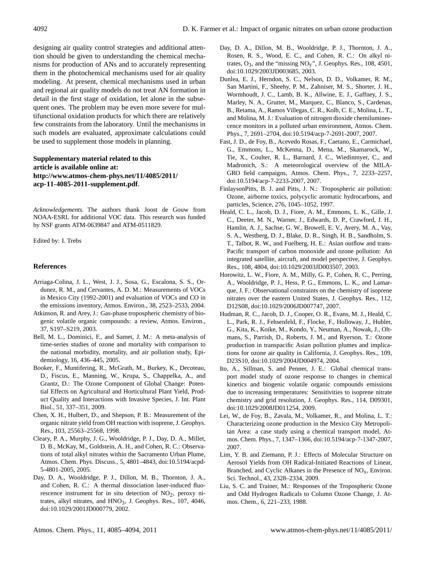designing air quality control strategies and additional attention should be given to understanding the chemical mechanisms for production of ANs and to accurately representing them in the photochemical mechanisms used for air quality modeling. At present, chemical mechanisms used in urban and regional air quality models do not treat AN formation in detail in the first stage of oxidation, let alone in the subsequent ones. The problem may be even more severe for multifunctional oxidation products for which there are relatively few constraints from the laboratory. Until the mechanisms in such models are evaluated, approximate calculations could be used to supplement those models in planning.

## **Supplementary material related to this article is available online at: [http://www.atmos-chem-phys.net/11/4085/2011/](http://www.atmos-chem-phys.net/11/4085/2011/acp-11-4085-2011-supplement.pdf) [acp-11-4085-2011-supplement.pdf](http://www.atmos-chem-phys.net/11/4085/2011/acp-11-4085-2011-supplement.pdf)**.

*Acknowledgements.* The authors thank Joost de Gouw from NOAA-ESRL for additional VOC data. This research was funded by NSF grants ATM-0639847 and ATM-0511829.

Edited by: I. Trebs

## **References**

- Arriaga-Colina, J. L., West, J. J., Sosa, G., Escalona, S. S., Ordunez, R. M., and Cervantes, A. D. M.: Measurements of VOCs in Mexico City (1992-2001) and evaluation of VOCs and CO in the emissions inventory, Atmos. Environ., 38, 2523–2533, 2004.
- Atkinson, R. and Arey, J.: Gas-phase tropospheric chemistry of biogenic volatile organic compounds: a review, Atmos. Environ., 37, S197–S219, 2003.
- Bell, M. L., Dominici, F., and Samet, J. M.: A meta-analysis of time-series studies of ozone and mortality with comparison to the national morbidity, mortality, and air pollution study, Epidemiology, 16, 436–445, 2005.
- Booker, F., Muntifering, R., McGrath, M., Burkey, K., Decoteau, D., Fiscus, E., Manning, W., Krupa, S., Chappelka, A., and Grantz, D.: The Ozone Component of Global Change: Potential Effects on Agricultural and Horticultural Plant Yield, Product Quality and Interactions with Invasive Species, J. Int. Plant Biol., 51, 337–351, 2009.
- Chen, X. H., Hulbert, D., and Shepson, P. B.: Measurement of the organic nitrate yield from OH reaction with isoprene, J. Geophys. Res., 103, 25563–25568, 1998.
- Cleary, P. A., Murphy, J. G., Wooldridge, P. J., Day, D. A., Millet, D. B., McKay, M., Goldstein, A. H., and Cohen, R. C.: Observations of total alkyl nitrates within the Sacramento Urban Plume, Atmos. Chem. Phys. Discuss., 5, 4801–4843, [doi:10.5194/acpd-](http://dx.doi.org/10.5194/acpd-5-4801-2005)[5-4801-2005,](http://dx.doi.org/10.5194/acpd-5-4801-2005) 2005.
- Day, D. A., Wooldridge, P. J., Dillon, M. B., Thornton, J. A., and Cohen, R. C.: A thermal dissociation laser-induced fluorescence instrument for in situ detection of  $NO<sub>2</sub>$ , peroxy nitrates, alkyl nitrates, and  $HNO<sub>3</sub>$ , J. Geophys. Res., 107, 4046, [doi:10.1029/2001JD000779,](http://dx.doi.org/10.1029/2001JD000779) 2002.
- Day, D. A., Dillon, M. B., Wooldridge, P. J., Thornton, J. A., Rosen, R. S., Wood, E. C., and Cohen, R. C.: On alkyl nitrates,  $O_3$ , and the "missing  $NO_y$ ", J. Geophys. Res., 108, 4501, [doi:10.1029/2003JD003685,](http://dx.doi.org/10.1029/2003JD003685) 2003.
- Dunlea, E. J., Herndon, S. C., Nelson, D. D., Volkamer, R. M., San Martini, F., Sheehy, P. M., Zahniser, M. S., Shorter, J. H., Wormhoudt, J. C., Lamb, B. K., Allwine, E. J., Gaffney, J. S., Marley, N. A., Grutter, M., Marquez, C., Blanco, S., Cardenas, B., Retama, A., Ramos Villegas, C. R., Kolb, C. E., Molina, L. T., and Molina, M. J.: Evaluation of nitrogen dioxide chemiluminescence monitors in a polluted urban environment, Atmos. Chem. Phys., 7, 2691–2704, [doi:10.5194/acp-7-2691-2007,](http://dx.doi.org/10.5194/acp-7-2691-2007) 2007.
- Fast, J. D., de Foy, B., Acevedo Rosas, F., Caetano, E., Carmichael, G., Emmons, L., McKenna, D., Mena, M., Skamarock, W., Tie, X., Coulter, R. L., Barnard, J. C., Wiedinmyer, C., and Madronich, S.: A meteorological overview of the MILA-GRO field campaigns, Atmos. Chem. Phys., 7, 2233–2257, [doi:10.5194/acp-7-2233-2007,](http://dx.doi.org/10.5194/acp-7-2233-2007) 2007.
- FinlaysonPitts, B. J. and Pitts, J. N.: Tropospheric air pollution: Ozone, airborne toxics, polycyclic aromatic hydrocarbons, and particles, Science, 276, 1045–1052, 1997.
- Heald, C. L., Jacob, D. J., Fiore, A. M., Emmons, L. K., Gille, J. C., Deeter, M. N., Warner, J., Edwards, D. P., Crawford, J. H., Hamlin, A. J., Sachse, G. W., Browell, E. V., Avery, M. A., Vay, S. A., Westberg, D. J., Blake, D. R., Singh, H. B., Sandholm, S. T., Talbot, R. W., and Fuelberg, H. E.: Asian outflow and trans-Pacific transport of carbon monoxide and ozone pollution: An integrated satellite, aircraft, and model perspective, J. Geophys. Res., 108, 4804, [doi:10.1029/2003JD003507,](http://dx.doi.org/10.1029/2003JD003507) 2003.
- Horowitz, L. W., Fiore, A. M., Milly, G. P., Cohen, R. C., Perring, A., Wooldridge, P. J., Hess, P. G., Emmons, L. K., and Lamarque, J. F.: Observational constraints on the chemistry of isoprene nitrates over the eastern United States, J. Geophys. Res., 112, D12S08, [doi:10.1029/2006JD007747,](http://dx.doi.org/10.1029/2006JD007747) 2007.
- Hudman, R. C., Jacob, D. J., Cooper, O. R., Evans, M. J., Heald, C. L., Park, R. J., Fehsenfeld, F., Flocke, F., Holloway, J., Hubler, G., Kita, K., Koike, M., Kondo, Y., Neuman, A., Nowak, J., Oltmans, S., Parrish, D., Roberts, J. M., and Ryerson, T.: Ozone production in transpacific Asian pollution plumes and implications for ozone air quality in California, J. Geophys. Res., 109, D23S10, [doi:10.1029/2004JD004974,](http://dx.doi.org/10.1029/2004JD004974) 2004.
- Ito, A., Sillman, S. and Penner, J. E.: Global chemical transport model study of ozone response to changes in chemical kinetics and biogenic volatile organic compounds emissions due to increasing temperatures: Sensitivities to isoprene nitrate chemistry and grid resolution, J. Geophys. Res., 114, D09301, [doi:10.1029/2008JD011254,](http://dx.doi.org/10.1029/2008JD011254) 2009.
- Lei, W., de Foy, B., Zavala, M., Volkamer, R., and Molina, L. T.: Characterizing ozone production in the Mexico City Metropolitan Area: a case study using a chemical transport model, Atmos. Chem. Phys., 7, 1347–1366, [doi:10.5194/acp-7-1347-2007,](http://dx.doi.org/10.5194/acp-7-1347-2007) 2007.
- Lim, Y. B. and Ziemann, P. J.: Effects of Molecular Structure on Aerosol Yields from OH Radical-Initiated Reactions of Linear, Branched, and Cyclic Alkanes in the Presence of  $NO<sub>x</sub>$ , Environ. Sci. Technol., 43, 2328–2334, 2009.
- Liu, S. C. and Trainer, M.: Responses of the Tropospheric Ozone and Odd Hydrogen Radicals to Column Ozone Change, J. Atmos. Chem., 6, 221–233, 1988.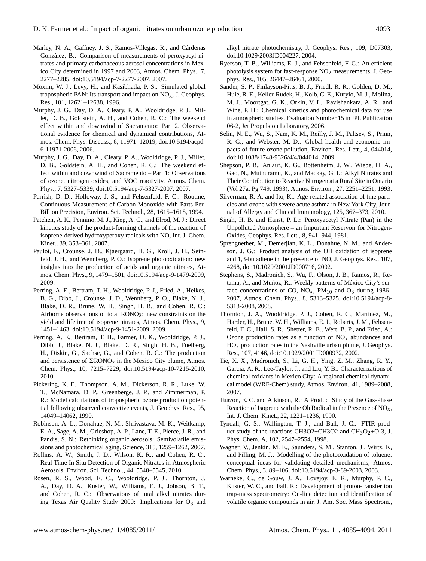- Marley, N. A., Gaffney, J. S., Ramos-Villegas, R., and Cárdenas González, B.: Comparison of measurements of peroxyacyl nitrates and primary carbonaceous aerosol concentrations in Mexico City determined in 1997 and 2003, Atmos. Chem. Phys., 7, 2277–2285, [doi:10.5194/acp-7-2277-2007,](http://dx.doi.org/10.5194/acp-7-2277-2007) 2007.
- Moxim, W. J., Levy, H., and Kasibhatla, P. S.: Simulated global tropospheric PAN: Its transport and impact on  $NO<sub>x</sub>$ , J. Geophys. Res., 101, 12621–12638, 1996.
- Murphy, J. G., Day, D. A., Cleary, P. A., Wooldridge, P. J., Millet, D. B., Goldstein, A. H., and Cohen, R. C.: The weekend effect within and downwind of Sacramento: Part 2. Observational evidence for chemical and dynamical contributions, Atmos. Chem. Phys. Discuss., 6, 11971–12019, [doi:10.5194/acpd-](http://dx.doi.org/10.5194/acpd-6-11971-2006)[6-11971-2006,](http://dx.doi.org/10.5194/acpd-6-11971-2006) 2006.
- Murphy, J. G., Day, D. A., Cleary, P. A., Wooldridge, P. J., Millet, D. B., Goldstein, A. H., and Cohen, R. C.: The weekend effect within and downwind of Sacramento – Part 1: Observations of ozone, nitrogen oxides, and VOC reactivity, Atmos. Chem. Phys., 7, 5327–5339, [doi:10.5194/acp-7-5327-2007,](http://dx.doi.org/10.5194/acp-7-5327-2007) 2007.
- Parrish, D. D., Holloway, J. S., and Fehsenfeld, F. C.: Routine, Continuous Measurement of Carbon-Monoxide with Parts-Per-Billion Precision, Environ. Sci. Technol., 28, 1615–1618, 1994.
- Patchen, A. K., Pennino, M. J., Kiep, A. C., and Elrod, M. J.: Direct kinetics study of the product-forming channels of the reaction of isoprene-derived hydroxyperoxy radicals with NO, Int. J. Chem. Kinet., 39, 353–361, 2007.
- Paulot, F., Crounse, J. D., Kjaergaard, H. G., Kroll, J. H., Seinfeld, J. H., and Wennberg, P. O.: Isoprene photooxidation: new insights into the production of acids and organic nitrates, Atmos. Chem. Phys., 9, 1479–1501, [doi:10.5194/acp-9-1479-2009,](http://dx.doi.org/10.5194/acp-9-1479-2009) 2009.
- Perring, A. E., Bertram, T. H., Wooldridge, P. J., Fried, A., Heikes, B. G., Dibb, J., Crounse, J. D., Wennberg, P. O., Blake, N. J., Blake, D. R., Brune, W. H., Singh, H. B., and Cohen, R. C.: Airborne observations of total  $RONO<sub>2</sub>$ : new constraints on the yield and lifetime of isoprene nitrates, Atmos. Chem. Phys., 9, 1451–1463, [doi:10.5194/acp-9-1451-2009,](http://dx.doi.org/10.5194/acp-9-1451-2009) 2009.
- Perring, A. E., Bertram, T. H., Farmer, D. K., Wooldridge, P. J., Dibb, J., Blake, N. J., Blake, D. R., Singh, H. B., Fuelberg, H., Diskin, G., Sachse, G., and Cohen, R. C.: The production and persistence of  $\Sigma$ RONO<sub>2</sub> in the Mexico City plume, Atmos. Chem. Phys., 10, 7215–7229, doi:10.5194/acp-10-7215-2010, 2010.
- Pickering, K. E., Thompson, A. M., Dickerson, R. R., Luke, W. T., McNamara, D. P., Greenberge, J. P., and Zimmerman, P. R.: Model calculations of tropospheric ozone production potential following observed convective events, J. Geophys. Res., 95, 14049–14062, 1990.
- Robinson, A. L., Donahue, N. M., Shrivastava, M. K., Weitkamp, E. A., Sage, A. M., Grieshop, A. P., Lane, T. E., Pierce, J. R., and Pandis, S. N.: Rethinking organic aerosols: Semivolatile emissions and photochemical aging, Science, 315, 1259–1262, 2007.
- Rollins, A. W., Smith, J. D., Wilson, K. R., and Cohen, R. C.: Real Time In Situ Detection of Organic Nitrates in Atmospheric Aerosols, Environ. Sci. Technol., 44, 5540–5545, 2010.
- Rosen, R. S., Wood, E. C., Wooldridge, P. J., Thornton, J. A., Day, D. A., Kuster, W., Williams, E. J., Jobson, B. T., and Cohen, R. C.: Observations of total alkyl nitrates during Texas Air Quality Study 2000: Implications for  $O_3$  and

alkyl nitrate photochemistry, J. Geophys. Res., 109, D07303, [doi:10.1029/2003JD004227,](http://dx.doi.org/10.1029/2003JD004227) 2004.

- Ryerson, T. B., Williams, E. J., and Fehsenfeld, F. C.: An efficient photolysis system for fast-response  $NO<sub>2</sub>$  measurements, J. Geophys. Res., 105, 26447–26461, 2000.
- Sander, S. P., Finlayson-Pitts, B. J., Friedl, R. R., Golden, D. M., Huie, R. E., Keller-Rudek, H., Kolb, C. E., Kurylo, M. J., Molina, M. J., Moortgat, G. K., Orkin, V. L., Ravishankara, A. R., and Wine, P. H.: Chemical kinetics and photochemical data for use in atmospheric studies, Evaluation Number 15 in JPL Publication 06-2, Jet Propulsion Laboratory, 2006.
- Selin, N. E., Wu, S., Nam, K. M., Reilly, J. M., Paltsev, S., Prinn, R. G., and Webster, M. D.: Global health and economic impacts of future ozone pollution, Environ. Res. Lett., 4, 044014, [doi:10.1088/1748-9326/4/4/044014,](http://dx.doi.org/10.1088/1748-9326/4/4/044014) 2009.
- Shepson, P. B., Anlauf, K. G., Bottenheim, J. W., Wiebe, H. A., Gao, N., Muthuramu, K., and Mackay, G. I.: Alkyl Nitrates and Their Contribution to Reactive Nitrogen at a Rural Site in Ontario (Vol 27a, Pg 749, 1993), Atmos. Environ., 27, 2251–2251, 1993.
- Silverman, R. A. and Ito, K.: Age-related association of fine particles and ozone with severe acute asthma in New York City, Journal of Allergy and Clinical Immunology, 125, 367–373, 2010.
- Singh, H. B. and Hanst, P. L.: Peroxyacetyl Nitrate (Pan) in the Unpolluted Atmosphere – an Important Reservoir for Nitrogen-Oxides, Geophys. Res. Lett., 8, 941–944, 1981.
- Sprengnether, M., Demerjian, K. L., Donahue, N. M., and Anderson, J. G.: Product analysis of the OH oxidation of isoprene and 1,3-butadiene in the presence of NO, J. Geophys. Res., 107, 4268, [doi:10.1029/2001JD000716,](http://dx.doi.org/10.1029/2001JD000716) 2002.
- Stephens, S., Madronich, S., Wu, F., Olson, J. B., Ramos, R., Retama, A., and Muñoz, R.: Weekly patterns of México City's surface concentrations of CO,  $NO<sub>x</sub>$ ,  $PM<sub>10</sub>$  and  $O<sub>3</sub>$  during 1986– 2007, Atmos. Chem. Phys., 8, 5313–5325, [doi:10.5194/acp-8-](http://dx.doi.org/10.5194/acp-8-5313-2008) [5313-2008,](http://dx.doi.org/10.5194/acp-8-5313-2008) 2008.
- Thornton, J. A., Wooldridge, P. J., Cohen, R. C., Martinez, M., Harder, H., Brune, W. H., Williams, E. J., Roberts, J. M., Fehsenfeld, F. C., Hall, S. R., Shetter, R. E., Wert, B. P., and Fried, A.: Ozone production rates as a function of  $NO<sub>x</sub>$  abundances and  $HO<sub>x</sub>$  production rates in the Nashville urban plume, J. Geophys. Res., 107, 4146, [doi:10.1029/2001JD000932,](http://dx.doi.org/10.1029/2001JD000932) 2002.
- Tie, X. X., Madronich, S., Li, G. H., Ying, Z. M., Zhang, R. Y., Garcia, A. R., Lee-Taylor, J., and Liu, Y. B.: Characterizations of chemical oxidants in Mexico City: A regional chemical dynamical model (WRF-Chem) study, Atmos. Environ., 41, 1989–2008, 2007.
- Tuazon, E. C. and Atkinson, R.: A Product Study of the Gas-Phase Reaction of Isoprene with the Oh Radical in the Presence of NOx, Int. J. Chem. Kinet., 22, 1221–1236, 1990.
- Tyndall, G. S., Wallington, T. J., and Ball, J. C.: FTIR product study of the reactions CH3O2+CH3O2 and CH<sub>3</sub>O<sub>2</sub>+O-3, J. Phys. Chem. A, 102, 2547–2554, 1998.
- Wagner, V., Jenkin, M. E., Saunders, S. M., Stanton, J., Wirtz, K, and Pilling, M. J.: Modelling of the photooxidation of toluene: conceptual ideas for validating detailed mechanisms, Atmos. Chem. Phys., 3, 89–106, [doi:10.5194/acp-3-89-2003,](http://dx.doi.org/10.5194/acp-3-89-2003) 2003.
- Warneke, C., de Gouw, J. A., Lovejoy, E. R., Murphy, P. C., Kuster, W. C., and Fall, R.: Development of proton-transfer ion trap-mass spectrometry: On-line detection and identification of volatile organic compounds in air, J. Am. Soc. Mass Spectrom.,